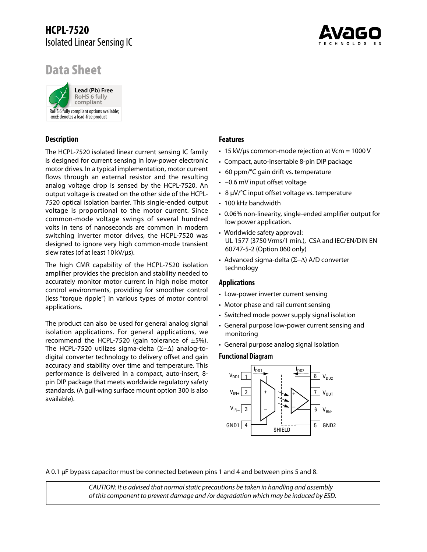# **HCPL-7520** Isolated Linear Sensing IC



# Data Sheet



# **Description**

The HCPL-7520 isolated linear current sensing IC family is designed for current sensing in low-power electronic motor drives. In a typical implementation, motor current flows through an external resistor and the resulting analog voltage drop is sensed by the HCPL-7520. An output voltage is created on the other side of the HCPL-7520 optical isolation barrier. This single-ended output voltage is proportional to the motor current. Since common-mode voltage swings of several hundred volts in tens of nanoseconds are common in modern switching inverter motor drives, the HCPL-7520 was designed to ignore very high common-mode transient slew rates (of at least 10 kV/µs).

The high CMR capability of the HCPL-7520 isolation amplifier provides the precision and stability needed to accurately monitor motor current in high noise motor control environments, providing for smoother control (less "torque ripple") in various types of motor control applications.

The product can also be used for general analog signal isolation applications. For general applications, we recommend the HCPL-7520 (gain tolerance of  $\pm$ 5%). The HCPL-7520 utilizes sigma-delta (Σ−∆) analog-todigital converter technology to delivery offset and gain accuracy and stability over time and temperature. This performance is delivered in a compact, auto-insert, 8 pin DIP package that meets worldwide regulatory safety standards. (A gull-wing surface mount option 300 is also available).

# **Features**

- 15 kV/µs common-mode rejection at Vcm = 1000 V
- Compact, auto-insertable 8-pin DIP package
- 60 ppm/°C gain drift vs. temperature
- –0.6 mV input offset voltage
- 8 µV/°C input offset voltage vs. temperature
- 100 kHz bandwidth
- 0.06% non-linearity, single-ended amplifier output for low power application.
- Worldwide safety approval: UL 1577 (3750 Vrms/1 min.), CSA and IEC/EN/DIN EN 60747-5-2 (Option 060 only)
- Advanced sigma-delta (Σ−∆) A/D converter technology

### **Applications**

- Low-power inverter current sensing
- Motor phase and rail current sensing
- Switched mode power supply signal isolation
- General purpose low-power current sensing and monitoring
- General purpose analog signal isolation

### **Functional Diagram**



A 0.1 µF bypass capacitor must be connected between pins 1 and 4 and between pins 5 and 8.

*CAUTION: It is advised that normal static precautions be taken in handling and assembly of this component to prevent damage and /or degradation which may be induced by ESD.*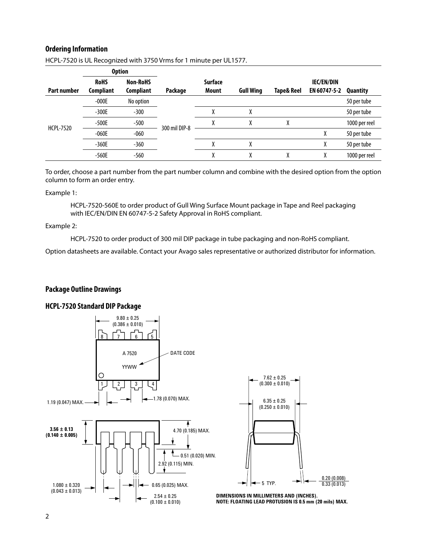# **Ordering Information**

|                    |                                 | <b>Option</b>                       |               |                         |                  |            |                                   |                 |
|--------------------|---------------------------------|-------------------------------------|---------------|-------------------------|------------------|------------|-----------------------------------|-----------------|
| <b>Part number</b> | <b>RoHS</b><br><b>Compliant</b> | <b>Non-RoHS</b><br><b>Compliant</b> | Package       | <b>Surface</b><br>Mount | <b>Gull Wing</b> | Tape& Reel | <b>IEC/EN/DIN</b><br>EN 60747-5-2 | <b>Quantity</b> |
|                    | $-000E$                         | No option                           |               |                         |                  |            |                                   | 50 per tube     |
|                    | $-300E$                         | $-300$                              |               |                         | χ                |            |                                   | 50 per tube     |
|                    | $-500E$                         | $-500$                              | 300 mil DIP-8 |                         | Λ                | Λ          |                                   | 1000 per reel   |
| <b>HCPL-7520</b>   | $-060E$                         | $-060$                              |               |                         |                  |            | χ                                 | 50 per tube     |
|                    | $-360E$                         | $-360$                              |               |                         | ν<br>Λ           |            | χ                                 | 50 per tube     |
|                    | $-560E$                         | $-560$                              |               | χ                       | ν<br>Λ           | χ          | χ                                 | 1000 per reel   |

HCPL-7520 is UL Recognized with 3750 Vrms for 1 minute per UL1577.

To order, choose a part number from the part number column and combine with the desired option from the option column to form an order entry.

Example 1:

HCPL-7520-560E to order product of Gull Wing Surface Mount package in Tape and Reel packaging with IEC/EN/DIN EN 60747-5-2 Safety Approval in RoHS compliant.

#### Example 2:

HCPL-7520 to order product of 300 mil DIP package in tube packaging and non-RoHS compliant.

Option datasheets are available. Contact your Avago sales representative or authorized distributor for information.

### **Package Outline Drawings**

### **HCPL-7520 Standard DIP Package**

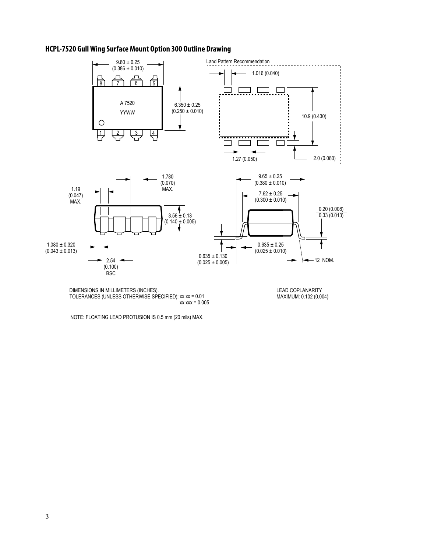

# **HCPL-7520 Gull Wing Surface Mount Option 300 Outline Drawing**

DIMENSIONS IN MILLIMETERS (INCHES). TOLERANCES (UNLESS OTHERWISE SPECIFIED): xx.xx = 0.01 xx.xxx = 0.005 LEAD COPLANARITY MAXIMUM: 0.102 (0.004)

NOTE: FLOATING LEAD PROTUSION IS 0.5 mm (20 mils) MAX.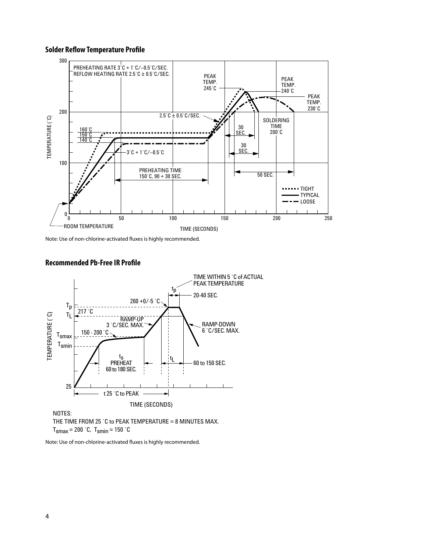# **Solder Reflow Temperature Profile**



Note: Use of non-chlorine-activated fluxes is highly recommended.

# **Recommended Pb-Free IR Profile**



NOTES:

THE TIME FROM 25 ˚C to PEAK TEMPERATURE = 8 MINUTES MAX.  $T<sub>smax</sub> = 200 °C$ ,  $T<sub>smin</sub> = 150 °C$ 

Note: Use of non-chlorine-activated fluxes is highly recommended.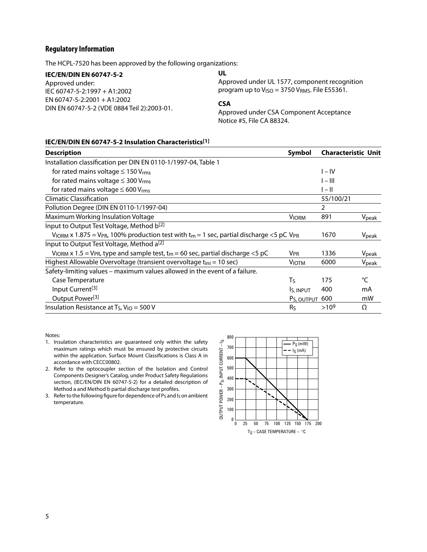# **Regulatory Information**

The HCPL-7520 has been approved by the following organizations:

# **IEC/EN/DIN EN 60747-5-2**

Approved under: IEC 60747-5-2:1997 + A1:2002 EN 60747-5-2:2001 + A1:2002 DIN EN 60747-5-2 (VDE 0884 Teil 2):2003-01. **UL**

Approved under UL 1577, component recognition program up to  $V<sub>ISO</sub> = 3750 V<sub>RMS</sub>$ . File E55361.

# **CSA**

Approved under CSA Component Acceptance Notice #5, File CA 88324.

### **IEC/EN/DIN EN 60747-5-2 Insulation Characteristics[1]**

| <b>Description</b>                                                                                                                      | Symbol                | <b>Characteristic Unit</b> |                   |
|-----------------------------------------------------------------------------------------------------------------------------------------|-----------------------|----------------------------|-------------------|
| Installation classification per DIN EN 0110-1/1997-04, Table 1                                                                          |                       |                            |                   |
| for rated mains voltage $\leq 150$ V <sub>rms</sub>                                                                                     |                       | $I - IV$                   |                   |
| for rated mains voltage $\leq$ 300 V <sub>rms</sub>                                                                                     |                       | $I - III$                  |                   |
| for rated mains voltage $\leq 600$ V <sub>rms</sub>                                                                                     |                       | $I - II$                   |                   |
| <b>Climatic Classification</b>                                                                                                          |                       | 55/100/21                  |                   |
| Pollution Degree (DIN EN 0110-1/1997-04)                                                                                                |                       | 2                          |                   |
| Maximum Working Insulation Voltage                                                                                                      | <b>VIORM</b>          | 891                        | V <sub>peak</sub> |
| Input to Output Test Voltage, Method b <sup>[2]</sup>                                                                                   |                       |                            |                   |
| $V_{\text{IORM}}$ x 1.875 = V <sub>PR</sub> , 100% production test with t <sub>m</sub> = 1 sec, partial discharge <5 pC V <sub>PR</sub> |                       | 1670                       | V <sub>peak</sub> |
| Input to Output Test Voltage, Method a <sup>[2]</sup>                                                                                   |                       |                            |                   |
| $V_{\text{IORM}}$ x 1.5 = V <sub>PR</sub> , type and sample test, t <sub>m</sub> = 60 sec, partial discharge <5 pC                      | <b>V<sub>PR</sub></b> | 1336                       | V <sub>peak</sub> |
| Highest Allowable Overvoltage (transient overvoltage t <sub>ini</sub> = 10 sec)                                                         | <b>VIOTM</b>          | 6000                       | V <sub>peak</sub> |
| Safety-limiting values – maximum values allowed in the event of a failure.                                                              |                       |                            |                   |
| Case Temperature                                                                                                                        | Tς                    | 175                        | °C                |
| Input Current <sup>[3]</sup>                                                                                                            | IS, INPUT             | 400                        | mA                |
| Output Power <sup>[3]</sup>                                                                                                             | Ps, OUTPUT 600        |                            | mW                |
| Insulation Resistance at $T_S$ , $V_{1O} = 500$ V                                                                                       | Rs                    | >10 <sup>9</sup>           | Ω                 |

Notes:

- 1. Insulation characteristics are guaranteed only within the safety maximum ratings which must be ensured by protective circuits within the application. Surface Mount Classifications is Class A in accordance with CECC00802.
- 2. Refer to the optocoupler section of the Isolation and Control Components Designer's Catalog, under Product Safety Regulations section, (IEC/EN/DIN EN 60747-5-2) for a detailed description of Method a and Method b partial discharge test profiles.
- 3. Refer to the following figure for dependence of  $P_S$  and  $I_S$  on ambient temperature.

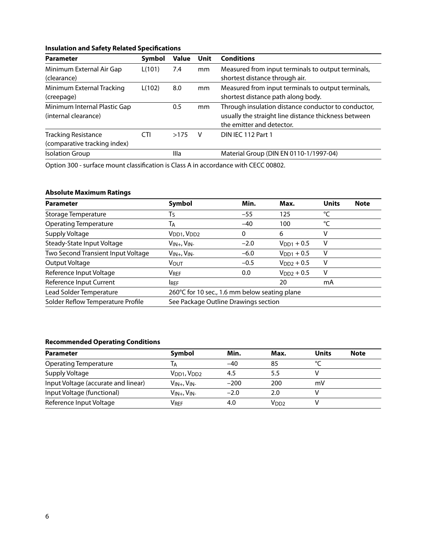# **Insulation and Safety Related Specifications**

| <b>Parameter</b>             | Symbol | <b>Value</b> | Unit | <b>Conditions</b>                                    |
|------------------------------|--------|--------------|------|------------------------------------------------------|
| Minimum External Air Gap     | L(101) | 7.4          | mm   | Measured from input terminals to output terminals,   |
| (clearance)                  |        |              |      | shortest distance through air.                       |
| Minimum External Tracking    | L(102) | 8.0          | mm   | Measured from input terminals to output terminals,   |
| (creepage)                   |        |              |      | shortest distance path along body.                   |
| Minimum Internal Plastic Gap |        | 0.5          | mm   | Through insulation distance conductor to conductor,  |
| (internal clearance)         |        |              |      | usually the straight line distance thickness between |
|                              |        |              |      | the emitter and detector.                            |
| <b>Tracking Resistance</b>   | CTI    | >175         | v    | DIN IEC 112 Part 1                                   |
| (comparative tracking index) |        |              |      |                                                      |
| <b>Isolation Group</b>       |        | Illa         |      | Material Group (DIN EN 0110-1/1997-04)               |
|                              |        |              |      |                                                      |

Option 300 - surface mount classification is Class A in accordance with CECC 00802.

# **Absolute Maximum Ratings**

| <b>Parameter</b>                   | Symbol                                        | Min.   | Max.            | <b>Units</b> | <b>Note</b> |
|------------------------------------|-----------------------------------------------|--------|-----------------|--------------|-------------|
| <b>Storage Temperature</b>         | Τs                                            | $-55$  | 125             | °C           |             |
| <b>Operating Temperature</b>       | Тд                                            | $-40$  | 100             | °C           |             |
| Supply Voltage                     | V <sub>DD1</sub> , V <sub>DD2</sub>           | 0      | 6               | ٧            |             |
| Steady-State Input Voltage         | $V_{IN+}$ , $V_{IN-}$                         | $-2.0$ | $V_{DD1} + 0.5$ | ۷            |             |
| Two Second Transient Input Voltage | $V_{IN+}$ , $V_{IN-}$                         | $-6.0$ | $V_{DD1} + 0.5$ | v            |             |
| Output Voltage                     | VOUT                                          | $-0.5$ | $V_{DD2} + 0.5$ | ۷            |             |
| Reference Input Voltage            | <b>VREF</b>                                   | 0.0    | $V_{DD2} + 0.5$ | v            |             |
| Reference Input Current            | <b>IREF</b>                                   |        | 20              | mA           |             |
| Lead Solder Temperature            | 260°C for 10 sec., 1.6 mm below seating plane |        |                 |              |             |
| Solder Reflow Temperature Profile  | See Package Outline Drawings section          |        |                 |              |             |

# **Recommended Operating Conditions**

| <b>Parameter</b>                    | Symbol                              | Min.   | Max.             | <b>Units</b> | <b>Note</b> |
|-------------------------------------|-------------------------------------|--------|------------------|--------------|-------------|
| <b>Operating Temperature</b>        | Iд                                  | $-40$  | 85               |              |             |
| Supply Voltage                      | V <sub>DD1</sub> , V <sub>DD2</sub> | 4.5    | 5.5              |              |             |
| Input Voltage (accurate and linear) | $V_{IN+}$ , $V_{IN-}$               | $-200$ | 200              | mV           |             |
| Input Voltage (functional)          | $V_{IN+}$ , $V_{IN-}$               | $-2.0$ | 2.0              |              |             |
| Reference Input Voltage             | <b>V</b> <sub>REF</sub>             |        | V <sub>DD2</sub> |              |             |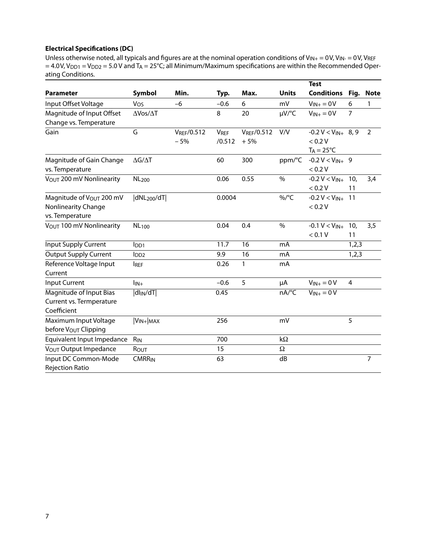# **Electrical Specifications (DC)**

Unless otherwise noted, all typicals and figures are at the nominal operation conditions of  $V_{IN+} = 0V$ ,  $V_{IN-} = 0V$ ,  $V_{REF}$  $= 4.0$ V, V<sub>DD1</sub> = V<sub>DD2</sub> = 5.0 V and T<sub>A</sub> = 25°C; all Minimum/Maximum specifications are within the Recommended Operating Conditions.

|                              |                          |                 |                        |                 |                     | <b>Test</b>            |                |                |
|------------------------------|--------------------------|-----------------|------------------------|-----------------|---------------------|------------------------|----------------|----------------|
| <b>Parameter</b>             | <b>Symbol</b>            | Min.            | Typ.                   | Max.            | <b>Units</b>        | <b>Conditions</b>      | Fig.           | <b>Note</b>    |
| Input Offset Voltage         | Vos                      | $-6$            | $-0.6$                 | 6               | mV                  | $V_{IN+} = 0V$         | 6              | 1              |
| Magnitude of Input Offset    | $\Delta$ Vos/ $\Delta$ T |                 | 8                      | 20              | µV/°C               | $V_{IN+} = 0V$         | $\overline{7}$ |                |
| Change vs. Temperature       |                          |                 |                        |                 |                     |                        |                |                |
| Gain                         | G                        | $V_{REF}/0.512$ | <b>V<sub>REF</sub></b> | $V_{REF}/0.512$ | V/V                 | $-0.2 V < V_{IN+} 8,9$ |                | $\overline{2}$ |
|                              |                          | $-5%$           | /0.512                 | $+5%$           |                     | < 0.2 V                |                |                |
|                              |                          |                 |                        |                 |                     | $T_A = 25^{\circ}C$    |                |                |
| Magnitude of Gain Change     | $\Delta G/\Delta T$      |                 | 60                     | 300             | ppm/°C              | $-0.2 V < V_{IN+}$ 9   |                |                |
| vs. Temperature              |                          |                 |                        |                 |                     | < 0.2 V                |                |                |
| VOUT 200 mV Nonlinearity     | <b>NL200</b>             |                 | 0.06                   | 0.55            | $\%$                | $-0.2 V < V_{IN+}$     | 10,            | 3,4            |
|                              |                          |                 |                        |                 |                     | < 0.2 V                | 11             |                |
| Magnitude of VOUT 200 mV     | dNL <sub>200</sub> /dT   |                 | 0.0004                 |                 | $\%$ /°C            | $-0.2 V < V_{IN+}$     | 11             |                |
| <b>Nonlinearity Change</b>   |                          |                 |                        |                 |                     | < 0.2 V                |                |                |
| vs. Temperature              |                          |                 |                        |                 |                     |                        |                |                |
| VOUT 100 mV Nonlinearity     | <b>NL</b> 100            |                 | 0.04                   | 0.4             | $\%$                | $-0.1 V < V_{IN+}$     | 10,            | 3,5            |
|                              |                          |                 |                        |                 |                     | < 0.1 V                | 11             |                |
| Input Supply Current         | I <sub>DD1</sub>         |                 | 11.7                   | $\overline{16}$ | m <sub>A</sub>      |                        | 1,2,3          |                |
| <b>Output Supply Current</b> | I <sub>DD2</sub>         |                 | 9.9                    | 16              | mA                  |                        | 1,2,3          |                |
| Reference Voltage Input      | <b>IREF</b>              |                 | 0.26                   | 1               | mA                  |                        |                |                |
| Current                      |                          |                 |                        |                 |                     |                        |                |                |
| Input Current                | $I_{IN+}$                |                 | $-0.6$                 | 5               | μA                  | $V_{IN+} = 0 V$        | 4              |                |
| Magnitude of Input Bias      | $ dl_{IN}/dT $           |                 | 0.45                   |                 | $nA$ <sup>o</sup> C | $V_{IN+} = 0 V$        |                |                |
| Current vs. Termperature     |                          |                 |                        |                 |                     |                        |                |                |
| Coefficient                  |                          |                 |                        |                 |                     |                        |                |                |
| Maximum Input Voltage        | $ V_{IN+} $ MAX          |                 | 256                    |                 | mV                  |                        | 5              |                |
| before Vout Clipping         |                          |                 |                        |                 |                     |                        |                |                |
| Equivalent Input Impedance   | $R_{IN}$                 |                 | 700                    |                 | kΩ                  |                        |                |                |
| VOUT Output Impedance        | ROUT                     |                 | 15                     |                 | $\Omega$            |                        |                |                |
| Input DC Common-Mode         | <b>CMRRIN</b>            |                 | 63                     |                 | dB                  |                        |                | $\overline{7}$ |
| <b>Rejection Ratio</b>       |                          |                 |                        |                 |                     |                        |                |                |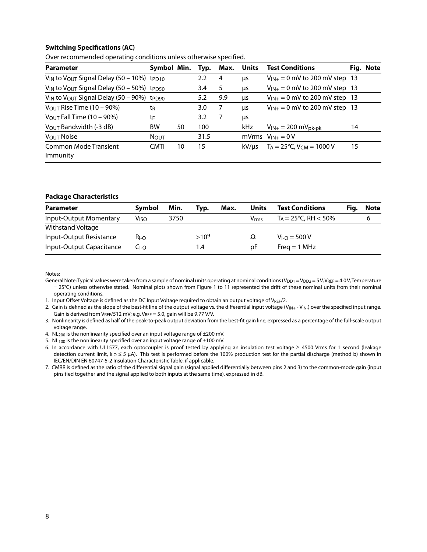#### **Switching Specifications (AC)**

| Over recommended operating conditions unless otherwise specified. |  |  |  |
|-------------------------------------------------------------------|--|--|--|
|                                                                   |  |  |  |

| <b>Parameter</b>                                                              | Symbol Min. |    | Typ. | Max. | <b>Units</b> | <b>Test Conditions</b>                         |    | Fig. Note |
|-------------------------------------------------------------------------------|-------------|----|------|------|--------------|------------------------------------------------|----|-----------|
| $V_{IN}$ to $V_{OUT}$ Signal Delay (50 – 10%) tpp10                           |             |    | 2.2  | 4    | μs           | $V_{IN+} = 0$ mV to 200 mV step 13             |    |           |
| V <sub>IN</sub> to V <sub>OUT</sub> Signal Delay (50 - 50%) t <sub>PD50</sub> |             |    | 3.4  | 5    | μs           | $V_{IN+} = 0$ mV to 200 mV step 13             |    |           |
| V <sub>IN</sub> to V <sub>OUT</sub> Signal Delay (50 – 90%) t <sub>PD90</sub> |             |    | 5.2  | 9.9  | μs           | $V_{IN+} = 0$ mV to 200 mV step 13             |    |           |
| $V_{\text{OUT}}$ Rise Time (10 – 90%)                                         | tr          |    | 3.0  |      | μs           | $V_{IN+} = 0$ mV to 200 mV step 13             |    |           |
| $V_{\text{OUT}}$ Fall Time (10 – 90%)                                         | tF          |    | 3.2  |      | μs           |                                                |    |           |
| VOUT Bandwidth (-3 dB)                                                        | <b>BW</b>   | 50 | 100  |      | <b>kHz</b>   | $V_{IN+} = 200 \text{ mV}_{pk-pk}$             | 14 |           |
| VOUT Noise                                                                    | <b>NOUT</b> |    | 31.5 |      |              | mVrms $V_{IN+} = 0 V$                          |    |           |
| Common Mode Transient<br>Immunity                                             | <b>CMTI</b> | 10 | 15   |      | kV/us        | $T_A = 25^{\circ}$ C, V <sub>CM</sub> = 1000 V | 15 |           |

#### **Package Characteristics**

| <b>Parameter</b>         | Symbol    | Min. | Typ.    | Max. | <b>Units</b>  | <b>Test Conditions</b>            | Fia. | Note |
|--------------------------|-----------|------|---------|------|---------------|-----------------------------------|------|------|
| Input-Output Momentary   | Viso      | 3750 |         |      | $V_{\rm rms}$ | $T_A = 25^{\circ}$ C, RH $< 50\%$ |      |      |
| Withstand Voltage        |           |      |         |      |               |                                   |      |      |
| Input-Output Resistance  | $R_{I-O}$ |      | $>10^9$ |      | Ω             | $V_{1-0} = 500 V$                 |      |      |
| Input-Output Capacitance | Lı-n      |      | 1.4     |      | рF            | Freq = $1$ MHz                    |      |      |

Notes:

- General Note: Typical values were taken from a sample of nominal units operating at nominal conditions (V<sub>DD1</sub> = V<sub>DD2</sub> = 5 V, VREF = 4.0 V, Temperature = 25°C) unless otherwise stated. Nominal plots shown from Figure 1 to 11 represented the drift of these nominal units from their nominal operating conditions.
- 1. Input Offset Voltage is defined as the DC Input Voltage required to obtain an output voltage of VREF/2.
- 2. Gain is defined as the slope of the best-fit line of the output voltage vs. the differential input voltage (VIN+ VIN-) over the specified input range. Gain is derived from VREF/512 mV; e.g. VREF = 5.0, gain will be 9.77 V/V.
- 3. Nonlinearity is defined as half of the peak-to-peak output deviation from the best-fit gain line, expressed as a percentage of the full-scale output voltage range.
- 4. NL200 is the nonlinearity specified over an input voltage range of ±200 mV.
- 5. NL<sub>100</sub> is the nonlinearity specified over an input voltage range of  $\pm 100$  mV.
- 6. In accordance with UL1577, each optocoupler is proof tested by applying an insulation test voltage ≥ 4500 Vrms for 1 second (leakage detection current limit,  $I_{1-O} \le 5$  µA). This test is performed before the 100% production test for the partial discharge (method b) shown in IEC/EN/DIN EN 60747-5-2 Insulation Characteristic Table, if applicable.
- 7. CMRR is defined as the ratio of the differential signal gain (signal applied differentially between pins 2 and 3) to the common-mode gain (input pins tied together and the signal applied to both inputs at the same time), expressed in dB.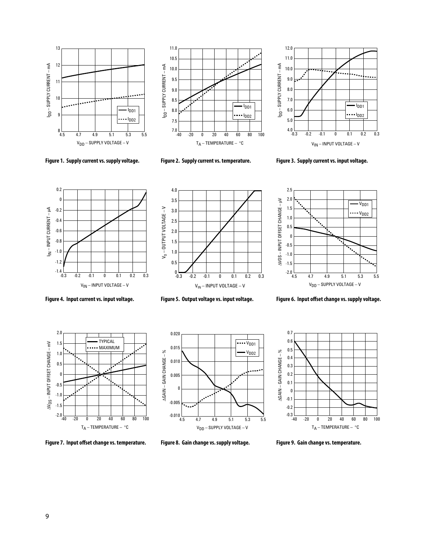



**Figure 1. Supply current vs. supply voltage.**



**Figure 2. Supply current vs. temperature. Figure 3. Supply current vs. input voltage.**







**Figure 4. Input current vs. input voltage. Figure 5. Output voltage vs. input voltage. Figure 6. Input offset change vs. supply voltage.**

0.7



**Figure 7. Input offset change vs. temperature. Figure 8. Gain change vs. supply voltage. Figure 9. Gain change vs. temperature.**



0.6 0.5 AGAIN - GAIN CHANGE - % ∆GAIN – GAIN CHANGE – % 0.4 0.3 0.2 0.1  $\pmb{0}$ -0.1 -0.2  $-0.3$   $-40$ -20 0 40 -40 -20 0 20 40 60 80 100 20 80 60  $T_A$  – TEMPERATURE –  $\degree$ C

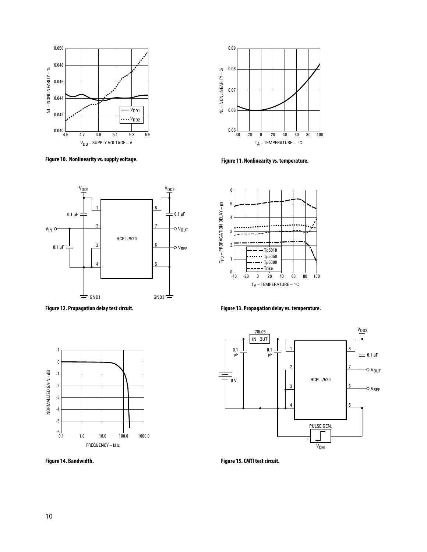









**Figure 12. Propagation delay test circuit. Figure 13. Propagation delay vs. temperature.**



**Figure 14. Bandwidth. Figure 15. CMTI test circuit.**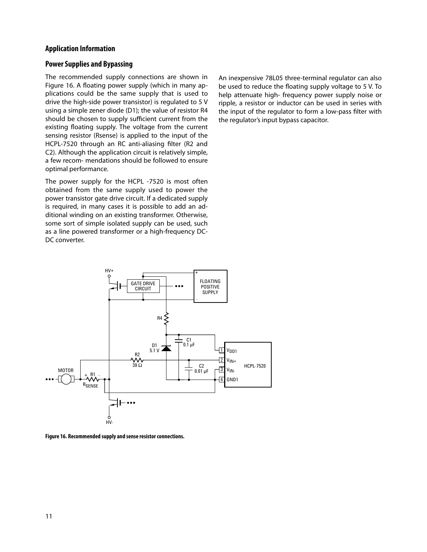## **Application Information**

## **Power Supplies and Bypassing**

The recommended supply connections are shown in Figure 16. A floating power supply (which in many applications could be the same supply that is used to drive the high-side power transistor) is regulated to 5 V using a simple zener diode (D1); the value of resistor R4 should be chosen to supply sufficient current from the existing floating supply. The voltage from the current sensing resistor (Rsense) is applied to the input of the HCPL-7520 through an RC anti-aliasing filter (R2 and C2). Although the application circuit is relatively simple, a few recom- mendations should be followed to ensure optimal performance.

The power supply for the HCPL -7520 is most often obtained from the same supply used to power the power transistor gate drive circuit. If a dedicated supply is required, in many cases it is possible to add an additional winding on an existing transformer. Otherwise, some sort of simple isolated supply can be used, such as a line powered transformer or a high-frequency DC-DC converter.

An inexpensive 78L05 three-terminal regulator can also be used to reduce the floating supply voltage to 5 V. To help attenuate high- frequency power supply noise or ripple, a resistor or inductor can be used in series with the input of the regulator to form a low-pass filter with the regulator's input bypass capacitor.



**Figure 16. Recommended supply and sense resistor connections.**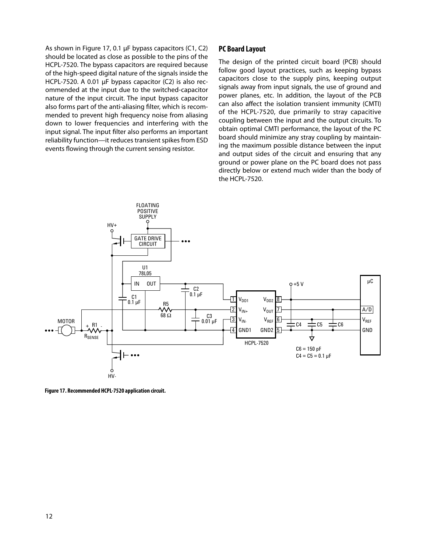As shown in Figure 17, 0.1 µF bypass capacitors (C1, C2) should be located as close as possible to the pins of the HCPL-7520. The bypass capacitors are required because of the high-speed digital nature of the signals inside the HCPL-7520. A 0.01 µF bypass capacitor (C2) is also recommended at the input due to the switched-capacitor nature of the input circuit. The input bypass capacitor also forms part of the anti-aliasing filter, which is recommended to prevent high frequency noise from aliasing down to lower frequencies and interfering with the input signal. The input filter also performs an important reliability function—it reduces transient spikes from ESD events flowing through the current sensing resistor.

## **PC Board Layout**

The design of the printed circuit board (PCB) should follow good layout practices, such as keeping bypass capacitors close to the supply pins, keeping output signals away from input signals, the use of ground and power planes, etc. In addition, the layout of the PCB can also affect the isolation transient immunity (CMTI) of the HCPL-7520, due primarily to stray capacitive coupling between the input and the output circuits. To obtain optimal CMTI performance, the layout of the PC board should minimize any stray coupling by maintaining the maximum possible distance between the input and output sides of the circuit and ensuring that any ground or power plane on the PC board does not pass directly below or extend much wider than the body of the HCPL-7520.



**Figure 17. Recommended HCPL-7520 application circuit.**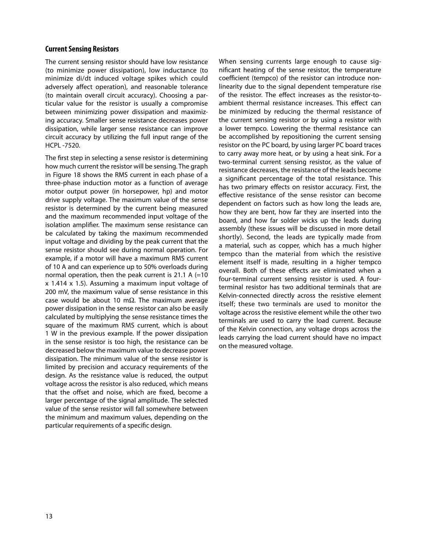### **Current Sensing Resistors**

The current sensing resistor should have low resistance (to minimize power dissipation), low inductance (to minimize di/dt induced voltage spikes which could adversely affect operation), and reasonable tolerance (to maintain overall circuit accuracy). Choosing a particular value for the resistor is usually a compromise between minimizing power dissipation and maximizing accuracy. Smaller sense resistance decreases power dissipation, while larger sense resistance can improve circuit accuracy by utilizing the full input range of the HCPL -7520.

The first step in selecting a sense resistor is determining how much current the resistor will be sensing. The graph in Figure 18 shows the RMS current in each phase of a three-phase induction motor as a function of average motor output power (in horsepower, hp) and motor drive supply voltage. The maximum value of the sense resistor is determined by the current being measured and the maximum recommended input voltage of the isolation amplifier. The maximum sense resistance can be calculated by taking the maximum recommended input voltage and dividing by the peak current that the sense resistor should see during normal operation. For example, if a motor will have a maximum RMS current of 10 A and can experience up to 50% overloads during normal operation, then the peak current is 21.1 A (=10 x 1.414 x 1.5). Assuming a maximum input voltage of 200 mV, the maximum value of sense resistance in this case would be about 10 m $\Omega$ . The maximum average power dissipation in the sense resistor can also be easily calculated by multiplying the sense resistance times the square of the maximum RMS current, which is about 1 W in the previous example. If the power dissipation in the sense resistor is too high, the resistance can be decreased below the maximum value to decrease power dissipation. The minimum value of the sense resistor is limited by precision and accuracy requirements of the design. As the resistance value is reduced, the output voltage across the resistor is also reduced, which means that the offset and noise, which are fixed, become a larger percentage of the signal amplitude. The selected value of the sense resistor will fall somewhere between the minimum and maximum values, depending on the particular requirements of a specific design.

When sensing currents large enough to cause significant heating of the sense resistor, the temperature coefficient (tempco) of the resistor can introduce nonlinearity due to the signal dependent temperature rise of the resistor. The effect increases as the resistor-toambient thermal resistance increases. This effect can be minimized by reducing the thermal resistance of the current sensing resistor or by using a resistor with a lower tempco. Lowering the thermal resistance can be accomplished by repositioning the current sensing resistor on the PC board, by using larger PC board traces to carry away more heat, or by using a heat sink. For a two-terminal current sensing resistor, as the value of resistance decreases, the resistance of the leads become a significant percentage of the total resistance. This has two primary effects on resistor accuracy. First, the effective resistance of the sense resistor can become dependent on factors such as how long the leads are, how they are bent, how far they are inserted into the board, and how far solder wicks up the leads during assembly (these issues will be discussed in more detail shortly). Second, the leads are typically made from a material, such as copper, which has a much higher tempco than the material from which the resistive element itself is made, resulting in a higher tempco overall. Both of these effects are eliminated when a four-terminal current sensing resistor is used. A fourterminal resistor has two additional terminals that are Kelvin-connected directly across the resistive element itself; these two terminals are used to monitor the voltage across the resistive element while the other two terminals are used to carry the load current. Because of the Kelvin connection, any voltage drops across the leads carrying the load current should have no impact on the measured voltage.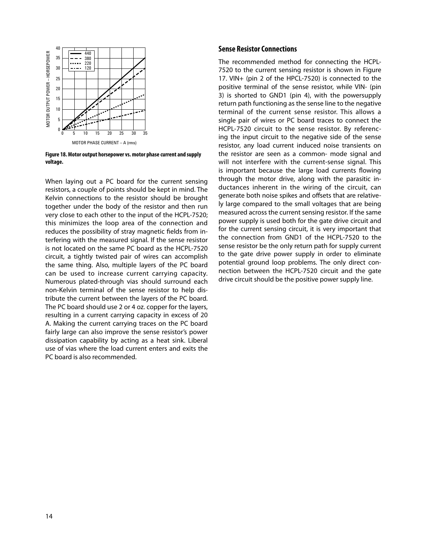

**Figure 18. Motor output horsepower vs. motor phase current and supply voltage.**

When laying out a PC board for the current sensing resistors, a couple of points should be kept in mind. The Kelvin connections to the resistor should be brought together under the body of the resistor and then run very close to each other to the input of the HCPL-7520; this minimizes the loop area of the connection and reduces the possibility of stray magnetic fields from interfering with the measured signal. If the sense resistor is not located on the same PC board as the HCPL-7520 circuit, a tightly twisted pair of wires can accomplish the same thing. Also, multiple layers of the PC board can be used to increase current carrying capacity. Numerous plated-through vias should surround each non-Kelvin terminal of the sense resistor to help distribute the current between the layers of the PC board. The PC board should use 2 or 4 oz. copper for the layers, resulting in a current carrying capacity in excess of 20 A. Making the current carrying traces on the PC board fairly large can also improve the sense resistor's power dissipation capability by acting as a heat sink. Liberal use of vias where the load current enters and exits the PC board is also recommended.

#### **Sense Resistor Connections**

The recommended method for connecting the HCPL-7520 to the current sensing resistor is shown in Figure 17. VIN+ (pin 2 of the HPCL-7520) is connected to the positive terminal of the sense resistor, while VIN- (pin 3) is shorted to GND1 (pin 4), with the powersupply return path functioning as the sense line to the negative terminal of the current sense resistor. This allows a single pair of wires or PC board traces to connect the HCPL-7520 circuit to the sense resistor. By referencing the input circuit to the negative side of the sense resistor, any load current induced noise transients on the resistor are seen as a common- mode signal and will not interfere with the current-sense signal. This is important because the large load currents flowing through the motor drive, along with the parasitic inductances inherent in the wiring of the circuit, can generate both noise spikes and offsets that are relatively large compared to the small voltages that are being measured across the current sensing resistor. If the same power supply is used both for the gate drive circuit and for the current sensing circuit, it is very important that the connection from GND1 of the HCPL-7520 to the sense resistor be the only return path for supply current to the gate drive power supply in order to eliminate potential ground loop problems. The only direct connection between the HCPL-7520 circuit and the gate drive circuit should be the positive power supply line.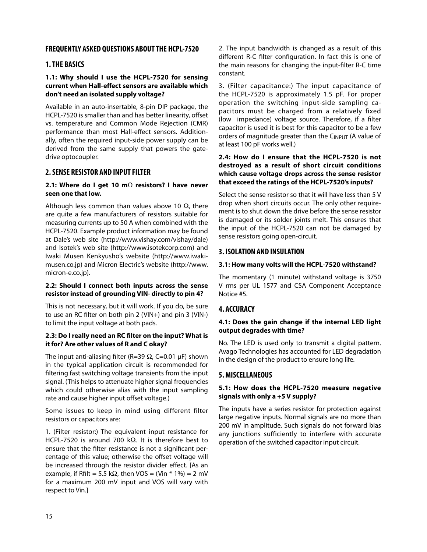# **FREQUENTLY ASKED QUESTIONS ABOUT THE HCPL-7520**

# **1. THE BASICS**

### **1.1: Why should I use the HCPL-7520 for sensing current when Hall-effect sensors are available which don't need an isolated supply voltage?**

Available in an auto-insertable, 8-pin DIP package, the HCPL-7520 is smaller than and has better linearity, offset vs. temperature and Common Mode Rejection (CMR) performance than most Hall-effect sensors. Additionally, often the required input-side power supply can be derived from the same supply that powers the gatedrive optocoupler.

# **2. SENSE RESISTOR AND INPUT FILTER**

#### **2.1: Where do I get 10 m**Ω **resistors? I have never seen one that low.**

Although less common than values above 10  $\Omega$ , there are quite a few manufacturers of resistors suitable for measuring currents up to 50 A when combined with the HCPL-7520. Example product information may be found at Dale's web site (http://www.vishay.com/vishay/dale) and Isotek's web site (http://www.isotekcorp.com) and Iwaki Musen Kenkyusho's website (http://www.iwakimusen.co.jp) and Micron Electric's website (http://www. micron-e.co.jp).

### **2.2: Should I connect both inputs across the sense resistor instead of grounding VIN- directly to pin 4?**

This is not necessary, but it will work. If you do, be sure to use an RC filter on both pin 2 (VIN+) and pin 3 (VIN-) to limit the input voltage at both pads.

#### **2.3: Do I really need an RC filter on the input? What is it for? Are other values of R and C okay?**

The input anti-aliasing filter (R=39  $\Omega$ , C=0.01 µF) shown in the typical application circuit is recommended for filtering fast switching voltage transients from the input signal. (This helps to attenuate higher signal frequencies which could otherwise alias with the input sampling rate and cause higher input offset voltage.)

Some issues to keep in mind using different filter resistors or capacitors are:

1. (Filter resistor:) The equivalent input resistance for HCPL-7520 is around 700 kΩ. It is therefore best to ensure that the filter resistance is not a significant percentage of this value; otherwise the offset voltage will be increased through the resistor divider effect. [As an example, if Rfilt = 5.5 k $\Omega$ , then VOS = (Vin  $*$  1%) = 2 mV for a maximum 200 mV input and VOS will vary with respect to Vin.]

2. The input bandwidth is changed as a result of this different R-C filter configuration. In fact this is one of the main reasons for changing the input-filter R-C time constant.

3. (Filter capacitance:) The input capacitance of the HCPL-7520 is approximately 1.5 pF. For proper operation the switching input-side sampling capacitors must be charged from a relatively fixed (low impedance) voltage source. Therefore, if a filter capacitor is used it is best for this capacitor to be a few orders of magnitude greater than the CINPUT (A value of at least 100 pF works well.)

## **2.4: How do I ensure that the HCPL-7520 is not destroyed as a result of short circuit conditions which cause voltage drops across the sense resistor that exceed the ratings of the HCPL-7520's inputs?**

Select the sense resistor so that it will have less than 5 V drop when short circuits occur. The only other requirement is to shut down the drive before the sense resistor is damaged or its solder joints melt. This ensures that the input of the HCPL-7520 can not be damaged by sense resistors going open-circuit.

# **3. ISOLATION AND INSULATION**

### **3.1: How many volts will the HCPL-7520 withstand?**

The momentary (1 minute) withstand voltage is 3750 V rms per UL 1577 and CSA Component Acceptance Notice #5.

# **4. ACCURACY**

### **4.1: Does the gain change if the internal LED light output degrades with time?**

No. The LED is used only to transmit a digital pattern. Avago Technologies has accounted for LED degradation in the design of the product to ensure long life.

# **5. MISCELLANEOUS**

### **5.1: How does the HCPL-7520 measure negative signals with only a +5 V supply?**

The inputs have a series resistor for protection against large negative inputs. Normal signals are no more than 200 mV in amplitude. Such signals do not forward bias any junctions sufficiently to interfere with accurate operation of the switched capacitor input circuit.